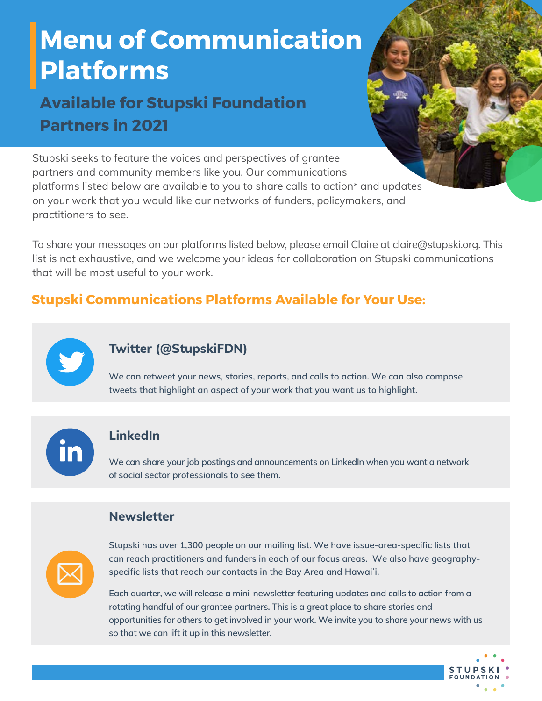# **Menu of Communication Platforms**

## **Available for Stupski Foundation Partners in 2021**

Stupski seeks to feature the voices and perspectives of grantee partners and community members like you. Our communications platforms listed below are available to you to share calls to action\* and updates on your work that you would like our networks of funders, policymakers, and practitioners to see.

To share your messages on our platforms listed below, please email Claire at claire@stupski.org. This list is not exhaustive, and we welcome your ideas for collaboration on Stupski communications that will be most useful to your work.

### **Stupski Communications Platforms Available for Your Use:**



#### **[Twitter \(@StupskiFDN\)](https://twitter.com/StupskiFDN)**

**We can retweet your news, stories, reports, and calls to action. We can also compose tweets that highlight an aspect of your work that you want us to highlight.** 

#### **[LinkedIn](https://www.linkedin.com/company/stupski-foundation)**

**We can share your job postings and announcements on LinkedIn when you want a network of social sector professionals to see them.** 

#### **Newsletter**



**Stupski has over 1,300 people on our mailing list. We have issue-area-specific lists that can reach practitioners and funders in each of our focus areas. We also have geographyspecific lists that reach our contacts in the Bay Area and Hawaiʻi.** 

**Each quarter, we will release a mini-newsletter featuring updates and calls to action from a rotating handful of our grantee partners. This is a great place to share stories and opportunities for others to get involved in your work. We invite you to share your news with us so that we can lift it up in this newsletter.** 

**STUPS**